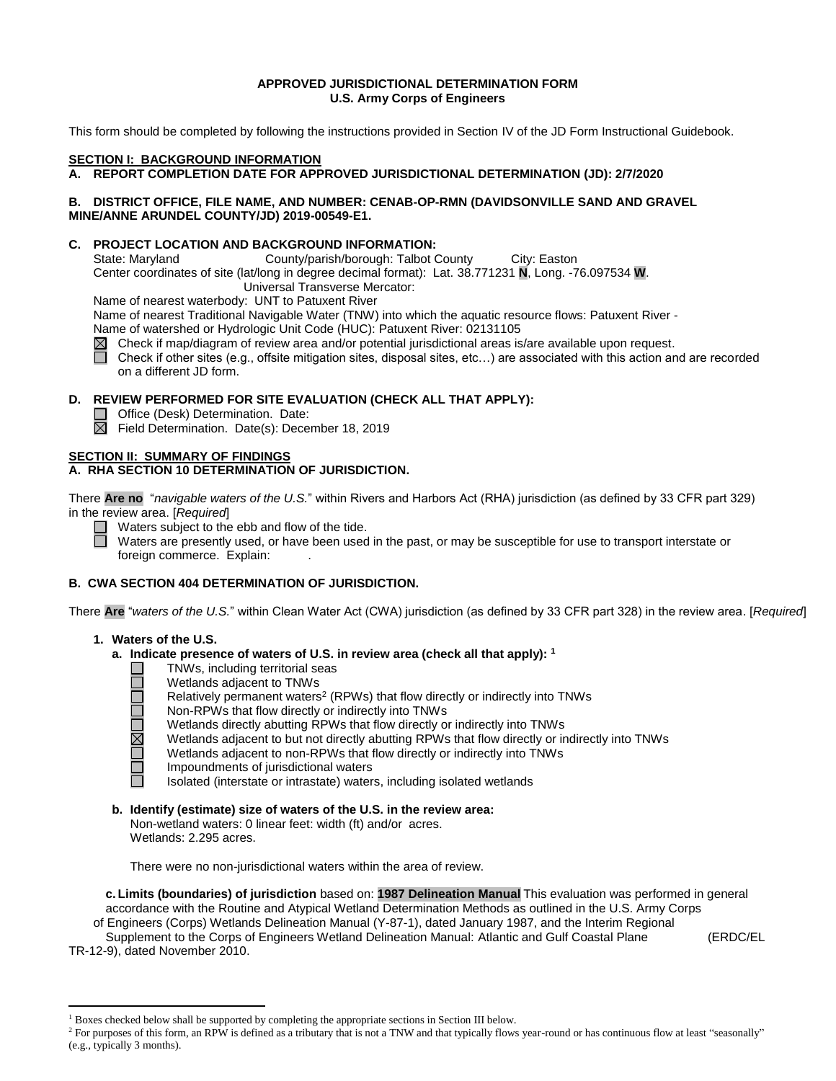## **APPROVED JURISDICTIONAL DETERMINATION FORM U.S. Army Corps of Engineers**

This form should be completed by following the instructions provided in Section IV of the JD Form Instructional Guidebook.

## **SECTION I: BACKGROUND INFORMATION**

## **A. REPORT COMPLETION DATE FOR APPROVED JURISDICTIONAL DETERMINATION (JD): 2/7/2020**

## **B. DISTRICT OFFICE, FILE NAME, AND NUMBER: CENAB-OP-RMN (DAVIDSONVILLE SAND AND GRAVEL MINE/ANNE ARUNDEL COUNTY/JD) 2019-00549-E1.**

### **C. PROJECT LOCATION AND BACKGROUND INFORMATION:**

State: Maryland County/parish/borough: Talbot County City: Easton Center coordinates of site (lat/long in degree decimal format): Lat. 38.771231 **N**, Long. -76.097534 **W**. Universal Transverse Mercator:

Name of nearest waterbody: UNT to Patuxent River

Name of nearest Traditional Navigable Water (TNW) into which the aquatic resource flows: Patuxent River -

Name of watershed or Hydrologic Unit Code (HUC): Patuxent River: 02131105

 $\boxtimes$  Check if map/diagram of review area and/or potential jurisdictional areas is/are available upon request.

Check if other sites (e.g., offsite mitigation sites, disposal sites, etc…) are associated with this action and are recorded on a different JD form.

# **D. REVIEW PERFORMED FOR SITE EVALUATION (CHECK ALL THAT APPLY):**

- Office (Desk) Determination. Date:
- $\overline{\boxtimes}$  Field Determination. Date(s): December 18, 2019

## **SECTION II: SUMMARY OF FINDINGS**

# **A. RHA SECTION 10 DETERMINATION OF JURISDICTION.**

There **Are no** "*navigable waters of the U.S.*" within Rivers and Harbors Act (RHA) jurisdiction (as defined by 33 CFR part 329) in the review area. [*Required*]

Waters subject to the ebb and flow of the tide.

Waters are presently used, or have been used in the past, or may be susceptible for use to transport interstate or foreign commerce. Explain:

## **B. CWA SECTION 404 DETERMINATION OF JURISDICTION.**

There **Are** "*waters of the U.S.*" within Clean Water Act (CWA) jurisdiction (as defined by 33 CFR part 328) in the review area. [*Required*]

## **1. Waters of the U.S.**

- **a. Indicate presence of waters of U.S. in review area (check all that apply): 1**
	- TNWs, including territorial seas
	- Wetlands adjacent to TNWs
		- Relatively permanent waters<sup>2</sup> (RPWs) that flow directly or indirectly into TNWs
		- Non-RPWs that flow directly or indirectly into TNWs
		- Wetlands directly abutting RPWs that flow directly or indirectly into TNWs
		- Wetlands adjacent to but not directly abutting RPWs that flow directly or indirectly into TNWs
		- Wetlands adjacent to non-RPWs that flow directly or indirectly into TNWs
		- Impoundments of jurisdictional waters
		- Isolated (interstate or intrastate) waters, including isolated wetlands
- **b. Identify (estimate) size of waters of the U.S. in the review area:** Non-wetland waters: 0 linear feet: width (ft) and/or acres.
	- Wetlands: 2.295 acres.

There were no non-jurisdictional waters within the area of review.

**c. Limits (boundaries) of jurisdiction** based on: **1987 Delineation Manual** This evaluation was performed in general accordance with the Routine and Atypical Wetland Determination Methods as outlined in the U.S. Army Corps of Engineers (Corps) Wetlands Delineation Manual (Y-87-1), dated January 1987, and the Interim Regional Supplement to the Corps of Engineers Wetland Delineation Manual: Atlantic and Gulf Coastal Plane (ERDC/EL

TR-12-9), dated November 2010.

<sup>&</sup>lt;sup>1</sup> Boxes checked below shall be supported by completing the appropriate sections in Section III below.

<sup>&</sup>lt;sup>2</sup> For purposes of this form, an RPW is defined as a tributary that is not a TNW and that typically flows year-round or has continuous flow at least "seasonally" (e.g., typically 3 months).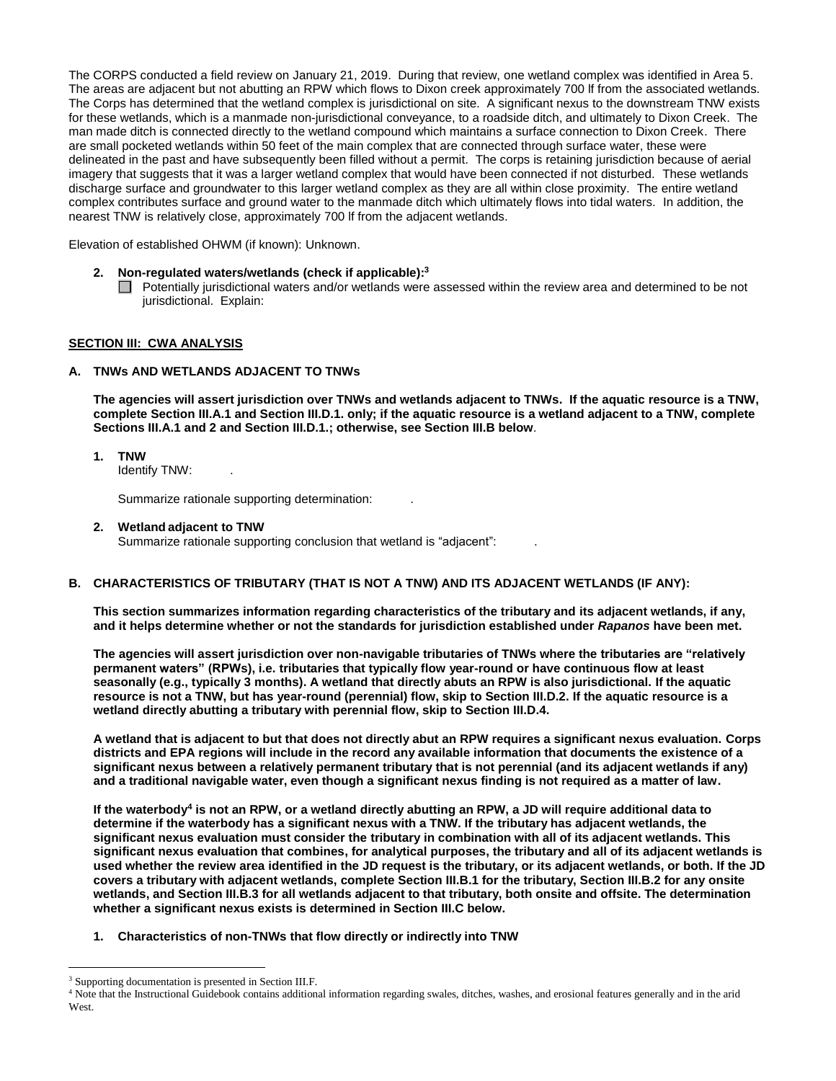The CORPS conducted a field review on January 21, 2019. During that review, one wetland complex was identified in Area 5. The areas are adjacent but not abutting an RPW which flows to Dixon creek approximately 700 lf from the associated wetlands. The Corps has determined that the wetland complex is jurisdictional on site. A significant nexus to the downstream TNW exists for these wetlands, which is a manmade non-jurisdictional conveyance, to a roadside ditch, and ultimately to Dixon Creek. The man made ditch is connected directly to the wetland compound which maintains a surface connection to Dixon Creek. There are small pocketed wetlands within 50 feet of the main complex that are connected through surface water, these were delineated in the past and have subsequently been filled without a permit. The corps is retaining jurisdiction because of aerial imagery that suggests that it was a larger wetland complex that would have been connected if not disturbed. These wetlands discharge surface and groundwater to this larger wetland complex as they are all within close proximity. The entire wetland complex contributes surface and ground water to the manmade ditch which ultimately flows into tidal waters. In addition, the nearest TNW is relatively close, approximately 700 lf from the adjacent wetlands.

Elevation of established OHWM (if known): Unknown.

- **2. Non-regulated waters/wetlands (check if applicable): 3**
	- Potentially jurisdictional waters and/or wetlands were assessed within the review area and determined to be not jurisdictional. Explain:

## **SECTION III: CWA ANALYSIS**

### **A. TNWs AND WETLANDS ADJACENT TO TNWs**

**The agencies will assert jurisdiction over TNWs and wetlands adjacent to TNWs. If the aquatic resource is a TNW, complete Section III.A.1 and Section III.D.1. only; if the aquatic resource is a wetland adjacent to a TNW, complete Sections III.A.1 and 2 and Section III.D.1.; otherwise, see Section III.B below**.

**1. TNW** 

Identify TNW: .

Summarize rationale supporting determination: .

#### **2. Wetland adjacent to TNW**

Summarize rationale supporting conclusion that wetland is "adjacent": .

#### **B. CHARACTERISTICS OF TRIBUTARY (THAT IS NOT A TNW) AND ITS ADJACENT WETLANDS (IF ANY):**

**This section summarizes information regarding characteristics of the tributary and its adjacent wetlands, if any, and it helps determine whether or not the standards for jurisdiction established under** *Rapanos* **have been met.** 

**The agencies will assert jurisdiction over non-navigable tributaries of TNWs where the tributaries are "relatively permanent waters" (RPWs), i.e. tributaries that typically flow year-round or have continuous flow at least seasonally (e.g., typically 3 months). A wetland that directly abuts an RPW is also jurisdictional. If the aquatic resource is not a TNW, but has year-round (perennial) flow, skip to Section III.D.2. If the aquatic resource is a wetland directly abutting a tributary with perennial flow, skip to Section III.D.4.** 

**A wetland that is adjacent to but that does not directly abut an RPW requires a significant nexus evaluation. Corps districts and EPA regions will include in the record any available information that documents the existence of a significant nexus between a relatively permanent tributary that is not perennial (and its adjacent wetlands if any) and a traditional navigable water, even though a significant nexus finding is not required as a matter of law.**

**If the waterbody 4 is not an RPW, or a wetland directly abutting an RPW, a JD will require additional data to determine if the waterbody has a significant nexus with a TNW. If the tributary has adjacent wetlands, the significant nexus evaluation must consider the tributary in combination with all of its adjacent wetlands. This significant nexus evaluation that combines, for analytical purposes, the tributary and all of its adjacent wetlands is used whether the review area identified in the JD request is the tributary, or its adjacent wetlands, or both. If the JD covers a tributary with adjacent wetlands, complete Section III.B.1 for the tributary, Section III.B.2 for any onsite wetlands, and Section III.B.3 for all wetlands adjacent to that tributary, both onsite and offsite. The determination whether a significant nexus exists is determined in Section III.C below.**

**1. Characteristics of non-TNWs that flow directly or indirectly into TNW**

<sup>&</sup>lt;sup>3</sup> Supporting documentation is presented in Section III.F.

<sup>&</sup>lt;sup>4</sup> Note that the Instructional Guidebook contains additional information regarding swales, ditches, washes, and erosional features generally and in the arid West.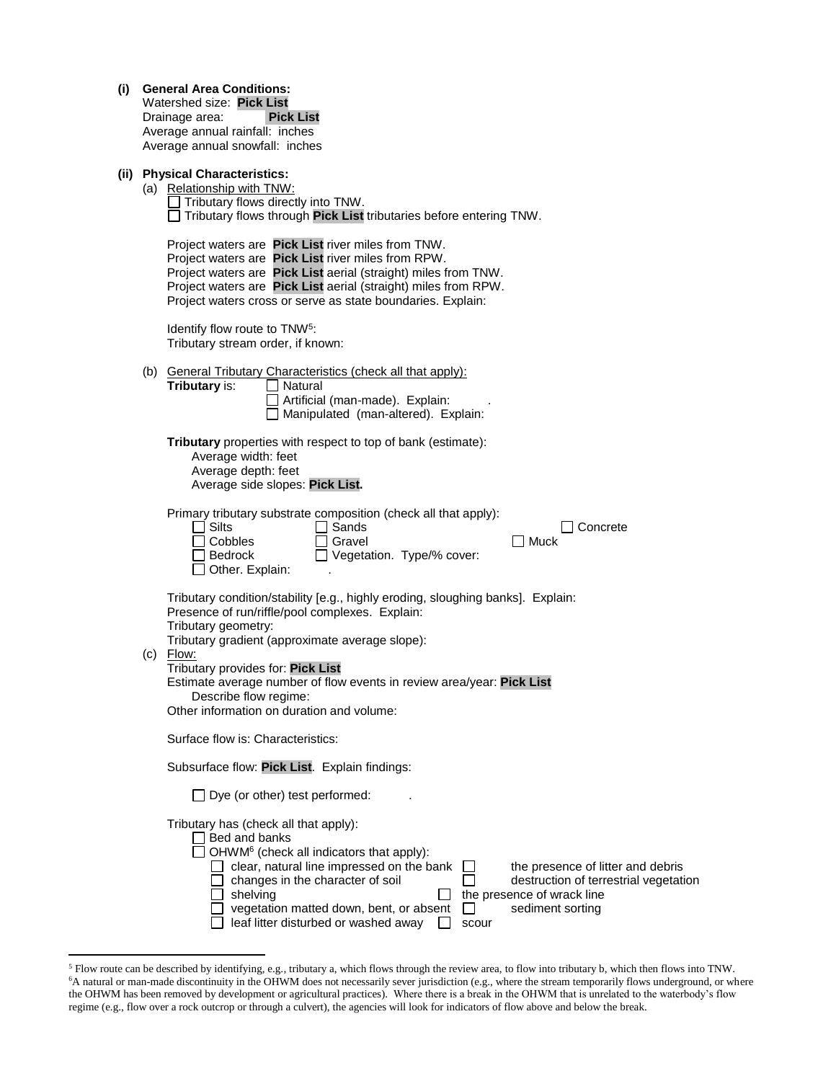| (i) | <b>General Area Conditions:</b><br>Watershed size: Pick List<br>Drainage area:<br><b>Pick List</b><br>Average annual rainfall: inches<br>Average annual snowfall: inches |                                                                                                                                                                                                                                                                                                                                                                                                                                         |  |  |  |
|-----|--------------------------------------------------------------------------------------------------------------------------------------------------------------------------|-----------------------------------------------------------------------------------------------------------------------------------------------------------------------------------------------------------------------------------------------------------------------------------------------------------------------------------------------------------------------------------------------------------------------------------------|--|--|--|
|     |                                                                                                                                                                          | (ii) Physical Characteristics:<br>(a) Relationship with TNW:<br>$\Box$ Tributary flows directly into TNW.<br>Tributary flows through Pick List tributaries before entering TNW.                                                                                                                                                                                                                                                         |  |  |  |
|     |                                                                                                                                                                          | Project waters are Pick List river miles from TNW.<br>Project waters are Pick List river miles from RPW.<br>Project waters are Pick List aerial (straight) miles from TNW.<br>Project waters are Pick List aerial (straight) miles from RPW.<br>Project waters cross or serve as state boundaries. Explain:                                                                                                                             |  |  |  |
|     |                                                                                                                                                                          | Identify flow route to TNW <sup>5</sup> :<br>Tributary stream order, if known:                                                                                                                                                                                                                                                                                                                                                          |  |  |  |
|     |                                                                                                                                                                          | (b) General Tributary Characteristics (check all that apply):<br>Tributary is:<br><b>O</b> Natural<br>Artificial (man-made). Explain:<br>Manipulated (man-altered). Explain:                                                                                                                                                                                                                                                            |  |  |  |
|     |                                                                                                                                                                          | Tributary properties with respect to top of bank (estimate):<br>Average width: feet<br>Average depth: feet<br>Average side slopes: Pick List.                                                                                                                                                                                                                                                                                           |  |  |  |
|     |                                                                                                                                                                          | Primary tributary substrate composition (check all that apply):<br><b>Silts</b><br>Sands<br>Concrete<br>$\blacksquare$<br>Cobbles<br>Muck<br>Gravel<br>Vegetation. Type/% cover:<br>Bedrock<br>Other. Explain:                                                                                                                                                                                                                          |  |  |  |
|     |                                                                                                                                                                          | Tributary condition/stability [e.g., highly eroding, sloughing banks]. Explain:<br>Presence of run/riffle/pool complexes. Explain:<br>Tributary geometry:<br>Tributary gradient (approximate average slope):<br>$(c)$ Flow:<br>Tributary provides for: Pick List<br>Estimate average number of flow events in review area/year: Pick List<br>Describe flow regime:<br>Other information on duration and volume:                         |  |  |  |
|     |                                                                                                                                                                          | Surface flow is: Characteristics:                                                                                                                                                                                                                                                                                                                                                                                                       |  |  |  |
|     |                                                                                                                                                                          | Subsurface flow: Pick List. Explain findings:                                                                                                                                                                                                                                                                                                                                                                                           |  |  |  |
|     |                                                                                                                                                                          | $\Box$ Dye (or other) test performed:                                                                                                                                                                                                                                                                                                                                                                                                   |  |  |  |
|     |                                                                                                                                                                          | Tributary has (check all that apply):<br>Bed and banks<br>OHWM <sup>6</sup> (check all indicators that apply):<br>clear, natural line impressed on the bank<br>the presence of litter and debris<br>changes in the character of soil<br>destruction of terrestrial vegetation<br>the presence of wrack line<br>shelving<br>vegetation matted down, bent, or absent<br>sediment sorting<br>leaf litter disturbed or washed away<br>scour |  |  |  |

 $<sup>5</sup>$  Flow route can be described by identifying, e.g., tributary a, which flows through the review area, to flow into tributary b, which then flows into TNW.</sup> <sup>6</sup>A natural or man-made discontinuity in the OHWM does not necessarily sever jurisdiction (e.g., where the stream temporarily flows underground, or where the OHWM has been removed by development or agricultural practices). Where there is a break in the OHWM that is unrelated to the waterbody's flow regime (e.g., flow over a rock outcrop or through a culvert), the agencies will look for indicators of flow above and below the break.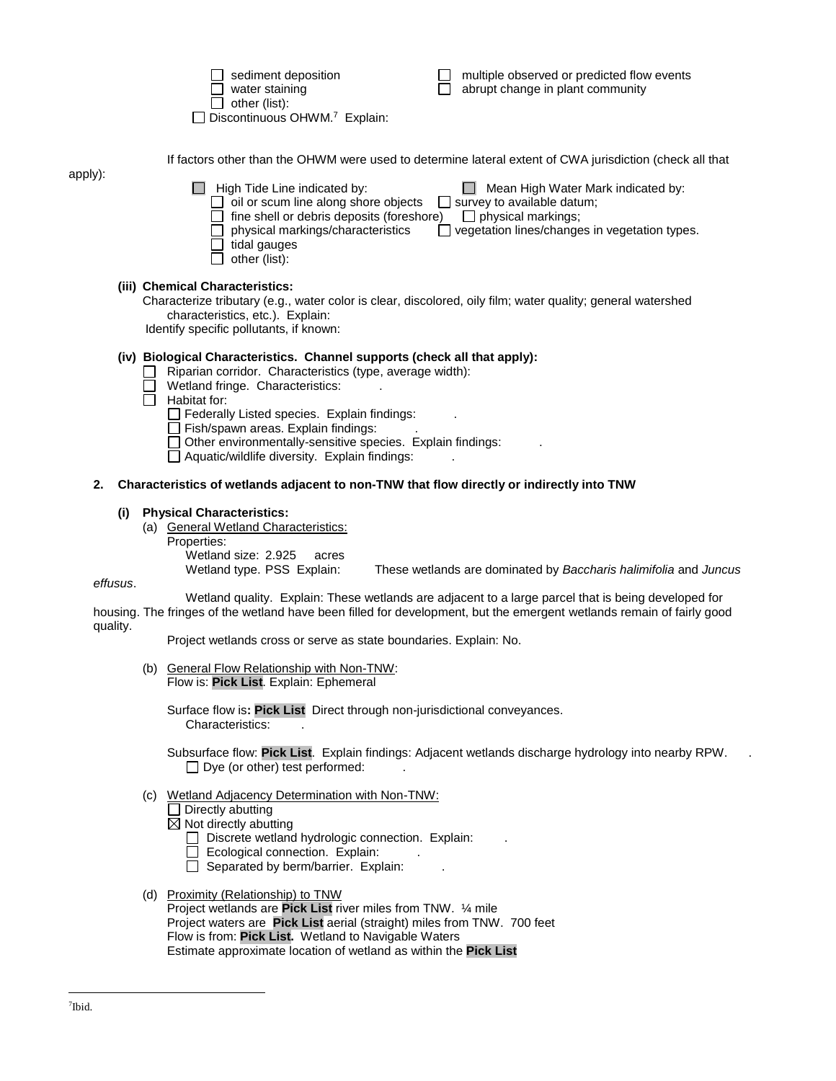|         | sediment deposition<br>multiple observed or predicted flow events<br>water staining<br>abrupt change in plant community<br>other (list):<br>Discontinuous OHWM. <sup>7</sup> Explain:                                                                                                                                                                                                                                                                     |
|---------|-----------------------------------------------------------------------------------------------------------------------------------------------------------------------------------------------------------------------------------------------------------------------------------------------------------------------------------------------------------------------------------------------------------------------------------------------------------|
| apply): | If factors other than the OHWM were used to determine lateral extent of CWA jurisdiction (check all that<br>High Tide Line indicated by:<br>Mean High Water Mark indicated by:<br>oil or scum line along shore objects<br>$\Box$ survey to available datum;<br>fine shell or debris deposits (foreshore) $\Box$ physical markings;<br>physical markings/characteristics<br>vegetation lines/changes in vegetation types.<br>tidal gauges<br>other (list): |
|         | (iii) Chemical Characteristics:<br>Characterize tributary (e.g., water color is clear, discolored, oily film; water quality; general watershed<br>characteristics, etc.). Explain:<br>Identify specific pollutants, if known:                                                                                                                                                                                                                             |
|         | (iv) Biological Characteristics. Channel supports (check all that apply):<br>Riparian corridor. Characteristics (type, average width):<br>Wetland fringe. Characteristics:<br>Habitat for:<br>$\Box$ Federally Listed species. Explain findings:<br>Fish/spawn areas. Explain findings:                                                                                                                                                                   |

- Other environmentally-sensitive species. Explain findings: .
- $\Box$  Aquatic/wildlife diversity. Explain findings:

### **2. Characteristics of wetlands adjacent to non-TNW that flow directly or indirectly into TNW**

## **(i) Physical Characteristics:**

- (a) General Wetland Characteristics:
	- Properties:

Wetland size: 2.925 acres<br>Wetland type. PSS Explain:

These wetlands are dominated by *Baccharis halimifolia* and *Juncus* 

*effusus*.

Wetland quality. Explain: These wetlands are adjacent to a large parcel that is being developed for housing. The fringes of the wetland have been filled for development, but the emergent wetlands remain of fairly good quality.

Project wetlands cross or serve as state boundaries. Explain: No.

(b) General Flow Relationship with Non-TNW: Flow is: **Pick List**. Explain: Ephemeral

Surface flow is**: Pick List** Direct through non-jurisdictional conveyances. Characteristics: .

Subsurface flow: **Pick List**. Explain findings: Adjacent wetlands discharge hydrology into nearby RPW. .  $\Box$  Dye (or other) test performed:

(c) Wetland Adjacency Determination with Non-TNW:

```
\Box Directly abutting
```
 $\boxtimes$  Not directly abutting

- Discrete wetland hydrologic connection. Explain:
- $\Box$  Ecological connection. Explain:
- $\Box$  Separated by berm/barrier. Explain:
- (d) Proximity (Relationship) to TNW

Project wetlands are **Pick List** river miles from TNW. ¼ mile Project waters are **Pick List** aerial (straight) miles from TNW. 700 feet Flow is from: **Pick List.** Wetland to Navigable Waters Estimate approximate location of wetland as within the **Pick List**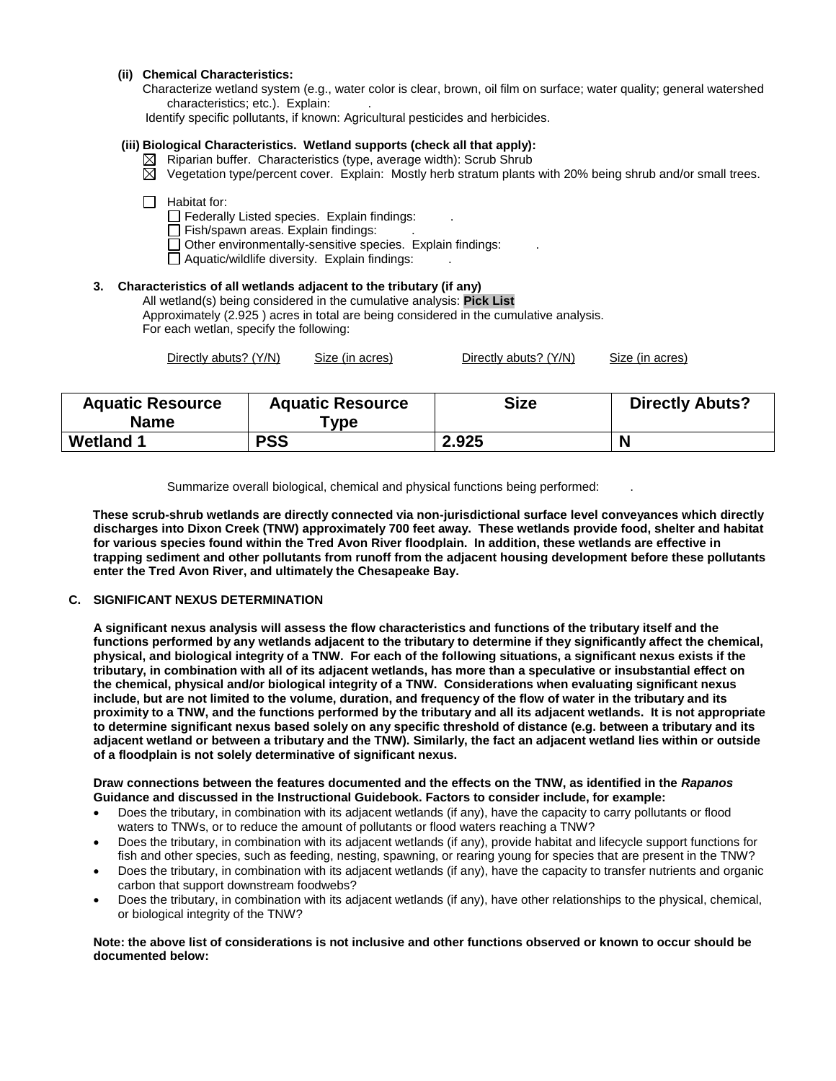## **(ii) Chemical Characteristics:**

Characterize wetland system (e.g., water color is clear, brown, oil film on surface; water quality; general watershed characteristics; etc.). Explain:

Identify specific pollutants, if known: Agricultural pesticides and herbicides.

# **(iii) Biological Characteristics. Wetland supports (check all that apply):**

- $\boxtimes$  Riparian buffer. Characteristics (type, average width): Scrub Shrub
- $\boxtimes$  Vegetation type/percent cover. Explain: Mostly herb stratum plants with 20% being shrub and/or small trees.

#### $\Box$  Habitat for:

 $\Box$  Federally Listed species. Explain findings:

- $\overline{\Box}$  Fish/spawn areas. Explain findings:
- $\Box$  Other environmentally-sensitive species. Explain findings:
- $\Box$  Aquatic/wildlife diversity. Explain findings:

## **3. Characteristics of all wetlands adjacent to the tributary (if any)**

All wetland(s) being considered in the cumulative analysis: **Pick List** Approximately (2.925 ) acres in total are being considered in the cumulative analysis. For each wetlan, specify the following:

| Directly abuts? (Y/N) | Size (in acres) | Directly abuts? (Y/N) | Size (in acres) |
|-----------------------|-----------------|-----------------------|-----------------|
|-----------------------|-----------------|-----------------------|-----------------|

| <b>Aquatic Resource</b><br><b>Name</b> | <b>Aquatic Resource</b><br><b>vpe</b> | <b>Size</b> | <b>Directly Abuts?</b> |
|----------------------------------------|---------------------------------------|-------------|------------------------|
| <b>Wetland 1</b>                       | <b>PSS</b>                            | 2.925       |                        |

Summarize overall biological, chemical and physical functions being performed: .

 **These scrub-shrub wetlands are directly connected via non-jurisdictional surface level conveyances which directly discharges into Dixon Creek (TNW) approximately 700 feet away. These wetlands provide food, shelter and habitat for various species found within the Tred Avon River floodplain. In addition, these wetlands are effective in trapping sediment and other pollutants from runoff from the adjacent housing development before these pollutants enter the Tred Avon River, and ultimately the Chesapeake Bay.** 

### **C. SIGNIFICANT NEXUS DETERMINATION**

**A significant nexus analysis will assess the flow characteristics and functions of the tributary itself and the functions performed by any wetlands adjacent to the tributary to determine if they significantly affect the chemical, physical, and biological integrity of a TNW. For each of the following situations, a significant nexus exists if the tributary, in combination with all of its adjacent wetlands, has more than a speculative or insubstantial effect on the chemical, physical and/or biological integrity of a TNW. Considerations when evaluating significant nexus include, but are not limited to the volume, duration, and frequency of the flow of water in the tributary and its proximity to a TNW, and the functions performed by the tributary and all its adjacent wetlands. It is not appropriate to determine significant nexus based solely on any specific threshold of distance (e.g. between a tributary and its adjacent wetland or between a tributary and the TNW). Similarly, the fact an adjacent wetland lies within or outside of a floodplain is not solely determinative of significant nexus.** 

### **Draw connections between the features documented and the effects on the TNW, as identified in the** *Rapanos* **Guidance and discussed in the Instructional Guidebook. Factors to consider include, for example:**

- Does the tributary, in combination with its adjacent wetlands (if any), have the capacity to carry pollutants or flood waters to TNWs, or to reduce the amount of pollutants or flood waters reaching a TNW?
- Does the tributary, in combination with its adjacent wetlands (if any), provide habitat and lifecycle support functions for fish and other species, such as feeding, nesting, spawning, or rearing young for species that are present in the TNW?
- Does the tributary, in combination with its adjacent wetlands (if any), have the capacity to transfer nutrients and organic carbon that support downstream foodwebs?
- Does the tributary, in combination with its adjacent wetlands (if any), have other relationships to the physical, chemical, or biological integrity of the TNW?

#### **Note: the above list of considerations is not inclusive and other functions observed or known to occur should be documented below:**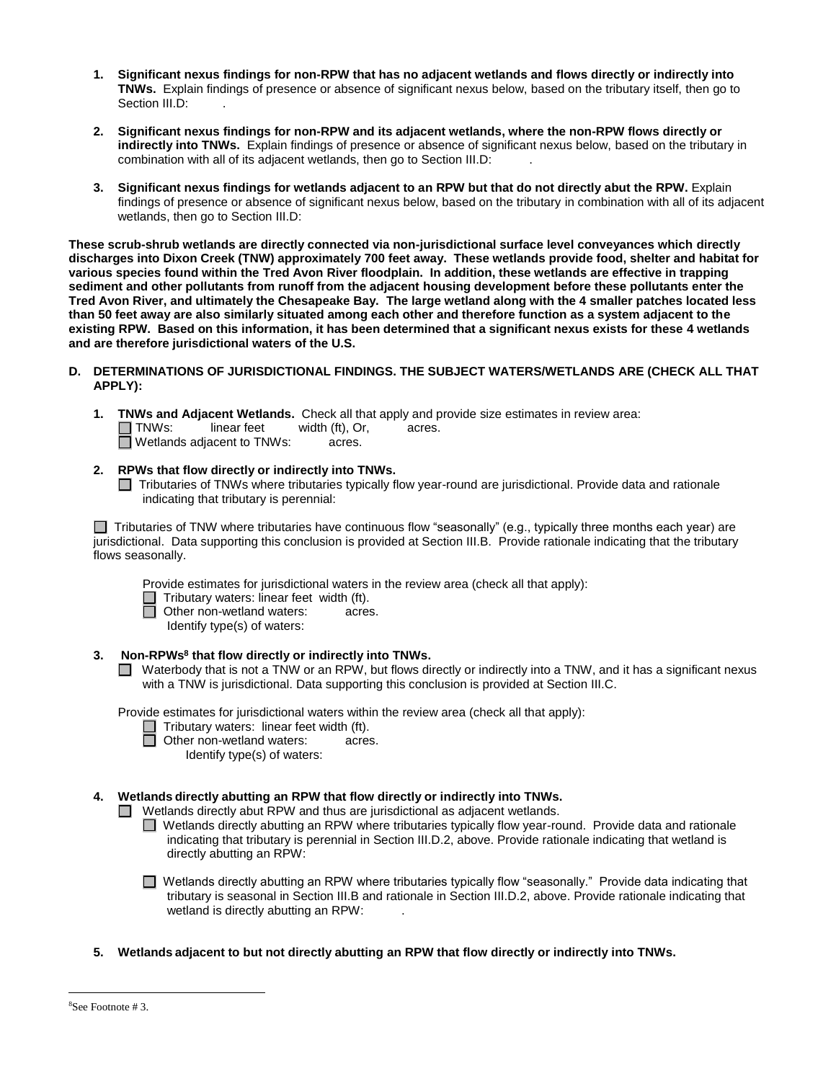- **1. Significant nexus findings for non-RPW that has no adjacent wetlands and flows directly or indirectly into TNWs.** Explain findings of presence or absence of significant nexus below, based on the tributary itself, then go to Section III.D:
- **2. Significant nexus findings for non-RPW and its adjacent wetlands, where the non-RPW flows directly or indirectly into TNWs.** Explain findings of presence or absence of significant nexus below, based on the tributary in combination with all of its adjacent wetlands, then go to Section III.D:
- **3. Significant nexus findings for wetlands adjacent to an RPW but that do not directly abut the RPW.** Explain findings of presence or absence of significant nexus below, based on the tributary in combination with all of its adjacent wetlands, then go to Section III.D:

**These scrub-shrub wetlands are directly connected via non-jurisdictional surface level conveyances which directly discharges into Dixon Creek (TNW) approximately 700 feet away. These wetlands provide food, shelter and habitat for various species found within the Tred Avon River floodplain. In addition, these wetlands are effective in trapping sediment and other pollutants from runoff from the adjacent housing development before these pollutants enter the Tred Avon River, and ultimately the Chesapeake Bay. The large wetland along with the 4 smaller patches located less than 50 feet away are also similarly situated among each other and therefore function as a system adjacent to the existing RPW. Based on this information, it has been determined that a significant nexus exists for these 4 wetlands and are therefore jurisdictional waters of the U.S.** 

## **D. DETERMINATIONS OF JURISDICTIONAL FINDINGS. THE SUBJECT WATERS/WETLANDS ARE (CHECK ALL THAT APPLY):**

- **1. TNWs and Adjacent Wetlands.** Check all that apply and provide size estimates in review area:  $\Box$  TNWs: linear feet width (ft), Or, acres.
	- Wetlands adjacent to TNWs: acres.
- **2. RPWs that flow directly or indirectly into TNWs.**
	- □ Tributaries of TNWs where tributaries typically flow year-round are jurisdictional. Provide data and rationale indicating that tributary is perennial:

Tributaries of TNW where tributaries have continuous flow "seasonally" (e.g., typically three months each year) are jurisdictional. Data supporting this conclusion is provided at Section III.B. Provide rationale indicating that the tributary flows seasonally.

Provide estimates for jurisdictional waters in the review area (check all that apply):

- □ Tributary waters: linear feet width (ft).<br>□ Other non-wetland waters: acres
- **Other non-wetland waters: acres.** 
	- Identify type(s) of waters:

## **3. Non-RPWs<sup>8</sup> that flow directly or indirectly into TNWs.**

■ Waterbody that is not a TNW or an RPW, but flows directly or indirectly into a TNW, and it has a significant nexus with a TNW is jurisdictional. Data supporting this conclusion is provided at Section III.C.

Provide estimates for jurisdictional waters within the review area (check all that apply):

Tributary waters: linear feet width (ft).

**Other non-wetland waters:** acres.

Identify type(s) of waters:

# **4. Wetlands directly abutting an RPW that flow directly or indirectly into TNWs.**

□ Wetlands directly abut RPW and thus are jurisdictional as adjacent wetlands.

- □ Wetlands directly abutting an RPW where tributaries typically flow year-round. Provide data and rationale indicating that tributary is perennial in Section III.D.2, above. Provide rationale indicating that wetland is directly abutting an RPW:
- Wetlands directly abutting an RPW where tributaries typically flow "seasonally." Provide data indicating that tributary is seasonal in Section III.B and rationale in Section III.D.2, above. Provide rationale indicating that wetland is directly abutting an RPW:
- **5. Wetlands adjacent to but not directly abutting an RPW that flow directly or indirectly into TNWs.**

<sup>8</sup>See Footnote # 3.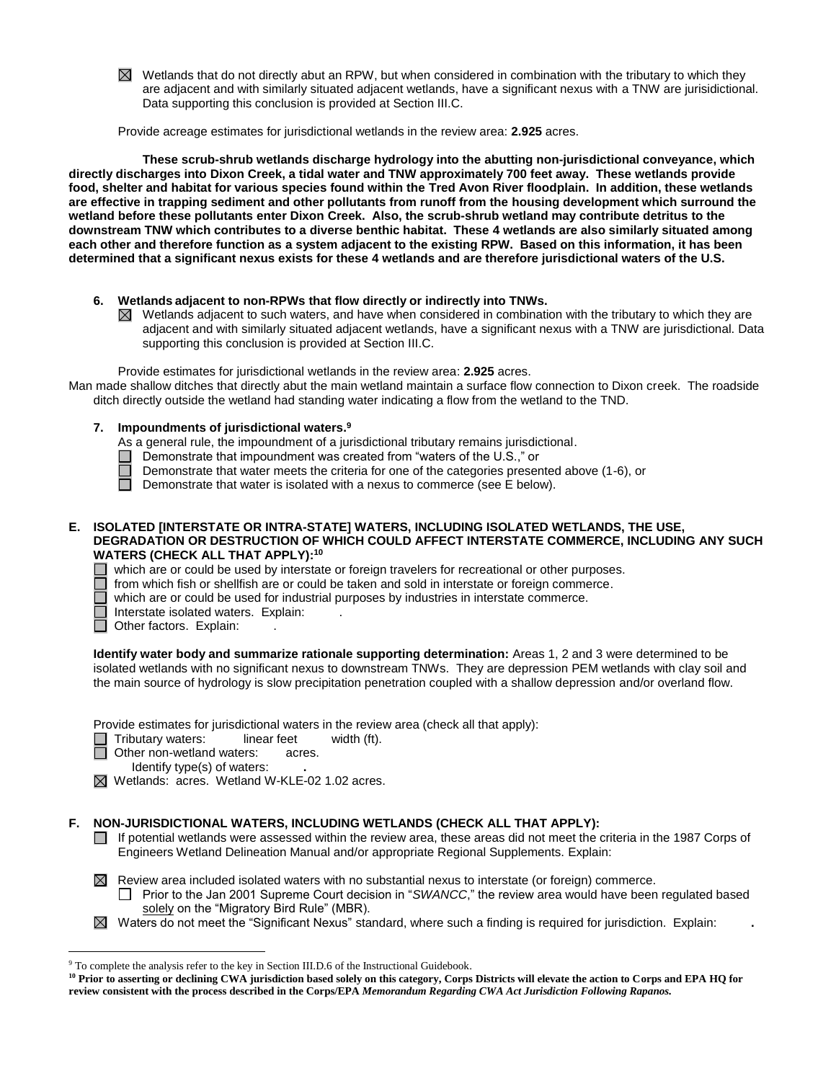$\boxtimes$  Wetlands that do not directly abut an RPW, but when considered in combination with the tributary to which they are adjacent and with similarly situated adjacent wetlands, have a significant nexus with a TNW are jurisidictional. Data supporting this conclusion is provided at Section III.C.

Provide acreage estimates for jurisdictional wetlands in the review area: **2.925** acres.

**These scrub-shrub wetlands discharge hydrology into the abutting non-jurisdictional conveyance, which directly discharges into Dixon Creek, a tidal water and TNW approximately 700 feet away. These wetlands provide food, shelter and habitat for various species found within the Tred Avon River floodplain. In addition, these wetlands are effective in trapping sediment and other pollutants from runoff from the housing development which surround the wetland before these pollutants enter Dixon Creek. Also, the scrub-shrub wetland may contribute detritus to the downstream TNW which contributes to a diverse benthic habitat. These 4 wetlands are also similarly situated among each other and therefore function as a system adjacent to the existing RPW. Based on this information, it has been determined that a significant nexus exists for these 4 wetlands and are therefore jurisdictional waters of the U.S.** 

- **6. Wetlands adjacent to non-RPWs that flow directly or indirectly into TNWs.** 
	- $\boxtimes$  Wetlands adjacent to such waters, and have when considered in combination with the tributary to which they are adjacent and with similarly situated adjacent wetlands, have a significant nexus with a TNW are jurisdictional. Data supporting this conclusion is provided at Section III.C.

Provide estimates for jurisdictional wetlands in the review area: **2.925** acres.

Man made shallow ditches that directly abut the main wetland maintain a surface flow connection to Dixon creek. The roadside ditch directly outside the wetland had standing water indicating a flow from the wetland to the TND.

## **7. Impoundments of jurisdictional waters. 9**

- As a general rule, the impoundment of a jurisdictional tributary remains jurisdictional.
- Demonstrate that impoundment was created from "waters of the U.S.," or  $\Box$
- Demonstrate that water meets the criteria for one of the categories presented above (1-6), or
- П Demonstrate that water is isolated with a nexus to commerce (see E below).

#### **E. ISOLATED [INTERSTATE OR INTRA-STATE] WATERS, INCLUDING ISOLATED WETLANDS, THE USE, DEGRADATION OR DESTRUCTION OF WHICH COULD AFFECT INTERSTATE COMMERCE, INCLUDING ANY SUCH WATERS (CHECK ALL THAT APPLY):<sup>10</sup>**

which are or could be used by interstate or foreign travelers for recreational or other purposes.

- from which fish or shellfish are or could be taken and sold in interstate or foreign commerce.
- which are or could be used for industrial purposes by industries in interstate commerce.
- Interstate isolated waters.Explain: .
- $\overline{\Box}$  Other factors. Explain:

 $\overline{a}$ 

**Identify water body and summarize rationale supporting determination:** Areas 1, 2 and 3 were determined to be isolated wetlands with no significant nexus to downstream TNWs. They are depression PEM wetlands with clay soil and the main source of hydrology is slow precipitation penetration coupled with a shallow depression and/or overland flow.

Provide estimates for jurisdictional waters in the review area (check all that apply):

- Tributary waters: linear feet width (ft).
- **Other non-wetland waters: acres.** 
	- Identify type(s) of waters: **.**
- Wetlands: acres. Wetland W-KLE-02 1.02 acres.

## **F. NON-JURISDICTIONAL WATERS, INCLUDING WETLANDS (CHECK ALL THAT APPLY):**

- $\Box$  If potential wetlands were assessed within the review area, these areas did not meet the criteria in the 1987 Corps of Engineers Wetland Delineation Manual and/or appropriate Regional Supplements. Explain:
- $\boxtimes$  Review area included isolated waters with no substantial nexus to interstate (or foreign) commerce. Prior to the Jan 2001 Supreme Court decision in "*SWANCC*," the review area would have been regulated based solely on the "Migratory Bird Rule" (MBR).
- Waters do not meet the "Significant Nexus" standard, where such a finding is required for jurisdiction. Explain: **.**

<sup>9</sup> To complete the analysis refer to the key in Section III.D.6 of the Instructional Guidebook.

**<sup>10</sup> Prior to asserting or declining CWA jurisdiction based solely on this category, Corps Districts will elevate the action to Corps and EPA HQ for review consistent with the process described in the Corps/EPA** *Memorandum Regarding CWA Act Jurisdiction Following Rapanos.*